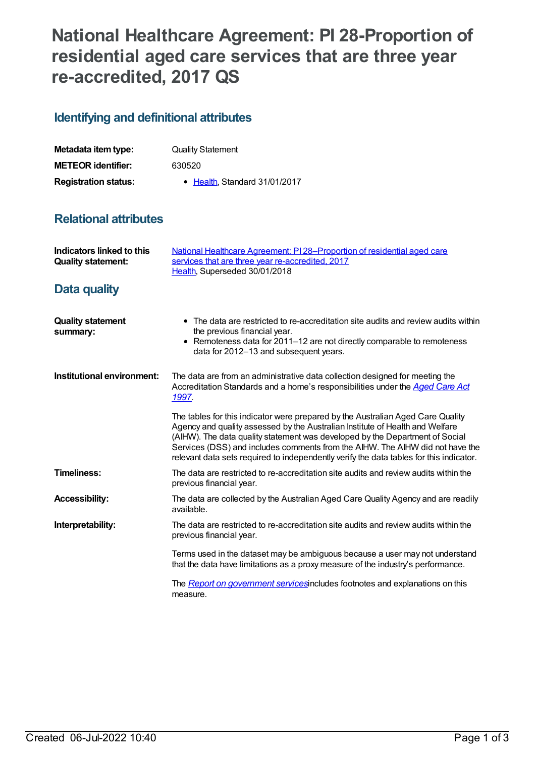## **National Healthcare Agreement: PI 28-Proportion of residential aged care services that are three year re-accredited, 2017 QS**

## **Identifying and definitional attributes**

| Metadata item type:         | <b>Quality Statement</b>      |
|-----------------------------|-------------------------------|
| <b>METEOR identifier:</b>   | 630520                        |
| <b>Registration status:</b> | • Health, Standard 31/01/2017 |

## **Relational attributes**

| Indicators linked to this<br><b>Quality statement:</b> | National Healthcare Agreement: PI 28-Proportion of residential aged care<br>services that are three year re-accredited, 2017<br>Health, Superseded 30/01/2018                                                                                                                                                                                                                                                                |
|--------------------------------------------------------|------------------------------------------------------------------------------------------------------------------------------------------------------------------------------------------------------------------------------------------------------------------------------------------------------------------------------------------------------------------------------------------------------------------------------|
| Data quality                                           |                                                                                                                                                                                                                                                                                                                                                                                                                              |
| <b>Quality statement</b><br>summary:                   | • The data are restricted to re-accreditation site audits and review audits within<br>the previous financial year.<br>• Remoteness data for 2011-12 are not directly comparable to remoteness<br>data for 2012-13 and subsequent years.                                                                                                                                                                                      |
| Institutional environment:                             | The data are from an administrative data collection designed for meeting the<br>Accreditation Standards and a home's responsibilities under the Aged Care Act<br>1997.                                                                                                                                                                                                                                                       |
|                                                        | The tables for this indicator were prepared by the Australian Aged Care Quality<br>Agency and quality assessed by the Australian Institute of Health and Welfare<br>(AIHW). The data quality statement was developed by the Department of Social<br>Services (DSS) and includes comments from the AIHW. The AIHW did not have the<br>relevant data sets required to independently verify the data tables for this indicator. |
| <b>Timeliness:</b>                                     | The data are restricted to re-accreditation site audits and review audits within the<br>previous financial year.                                                                                                                                                                                                                                                                                                             |
| <b>Accessibility:</b>                                  | The data are collected by the Australian Aged Care Quality Agency and are readily<br>available.                                                                                                                                                                                                                                                                                                                              |
| Interpretability:                                      | The data are restricted to re-accreditation site audits and review audits within the<br>previous financial year.                                                                                                                                                                                                                                                                                                             |
|                                                        | Terms used in the dataset may be ambiguous because a user may not understand<br>that the data have limitations as a proxy measure of the industry's performance.                                                                                                                                                                                                                                                             |
|                                                        | The <i>Report on government services</i> includes footnotes and explanations on this<br>measure.                                                                                                                                                                                                                                                                                                                             |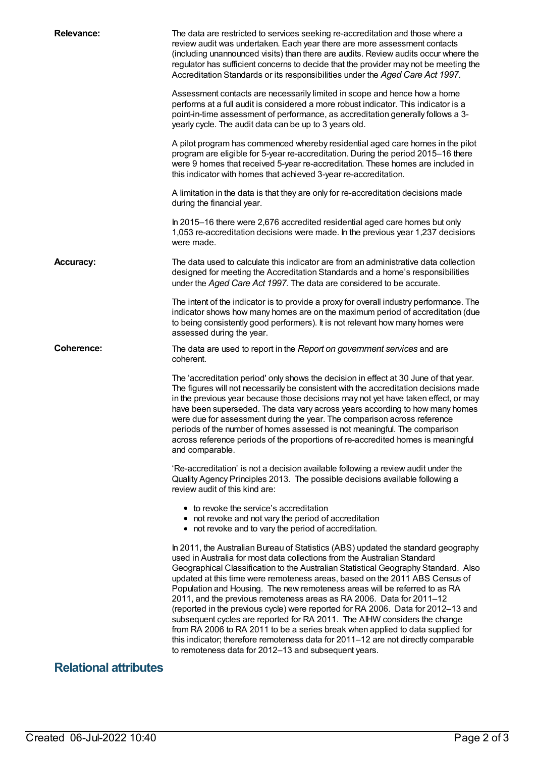| <b>Relevance:</b>            | The data are restricted to services seeking re-accreditation and those where a<br>review audit was undertaken. Each year there are more assessment contacts<br>(including unannounced visits) than there are audits. Review audits occur where the<br>regulator has sufficient concerns to decide that the provider may not be meeting the<br>Accreditation Standards or its responsibilities under the Aged Care Act 1997.                                                                                                                                                                                                                                                                                                                                                                                                                                                              |
|------------------------------|------------------------------------------------------------------------------------------------------------------------------------------------------------------------------------------------------------------------------------------------------------------------------------------------------------------------------------------------------------------------------------------------------------------------------------------------------------------------------------------------------------------------------------------------------------------------------------------------------------------------------------------------------------------------------------------------------------------------------------------------------------------------------------------------------------------------------------------------------------------------------------------|
|                              | Assessment contacts are necessarily limited in scope and hence how a home<br>performs at a full audit is considered a more robust indicator. This indicator is a<br>point-in-time assessment of performance, as accreditation generally follows a 3-<br>yearly cycle. The audit data can be up to 3 years old.                                                                                                                                                                                                                                                                                                                                                                                                                                                                                                                                                                           |
|                              | A pilot program has commenced whereby residential aged care homes in the pilot<br>program are eligible for 5-year re-accreditation. During the period 2015-16 there<br>were 9 homes that received 5-year re-accreditation. These homes are included in<br>this indicator with homes that achieved 3-year re-accreditation.                                                                                                                                                                                                                                                                                                                                                                                                                                                                                                                                                               |
|                              | A limitation in the data is that they are only for re-accreditation decisions made<br>during the financial year.                                                                                                                                                                                                                                                                                                                                                                                                                                                                                                                                                                                                                                                                                                                                                                         |
|                              | In 2015-16 there were 2,676 accredited residential aged care homes but only<br>1,053 re-accreditation decisions were made. In the previous year 1,237 decisions<br>were made.                                                                                                                                                                                                                                                                                                                                                                                                                                                                                                                                                                                                                                                                                                            |
| <b>Accuracy:</b>             | The data used to calculate this indicator are from an administrative data collection<br>designed for meeting the Accreditation Standards and a home's responsibilities<br>under the Aged Care Act 1997. The data are considered to be accurate.                                                                                                                                                                                                                                                                                                                                                                                                                                                                                                                                                                                                                                          |
|                              | The intent of the indicator is to provide a proxy for overall industry performance. The<br>indicator shows how many homes are on the maximum period of accreditation (due<br>to being consistently good performers). It is not relevant how many homes were<br>assessed during the year.                                                                                                                                                                                                                                                                                                                                                                                                                                                                                                                                                                                                 |
| Coherence:                   | The data are used to report in the Report on government services and are<br>coherent.                                                                                                                                                                                                                                                                                                                                                                                                                                                                                                                                                                                                                                                                                                                                                                                                    |
|                              | The 'accreditation period' only shows the decision in effect at 30 June of that year.<br>The figures will not necessarily be consistent with the accreditation decisions made<br>in the previous year because those decisions may not yet have taken effect, or may<br>have been superseded. The data vary across years according to how many homes<br>were due for assessment during the year. The comparison across reference<br>periods of the number of homes assessed is not meaningful. The comparison<br>across reference periods of the proportions of re-accredited homes is meaningful<br>and comparable.                                                                                                                                                                                                                                                                      |
|                              | 'Re-accreditation' is not a decision available following a review audit under the<br>Quality Agency Principles 2013. The possible decisions available following a<br>review audit of this kind are:                                                                                                                                                                                                                                                                                                                                                                                                                                                                                                                                                                                                                                                                                      |
|                              | • to revoke the service's accreditation<br>• not revoke and not vary the period of accreditation<br>• not revoke and to vary the period of accreditation.                                                                                                                                                                                                                                                                                                                                                                                                                                                                                                                                                                                                                                                                                                                                |
|                              | In 2011, the Australian Bureau of Statistics (ABS) updated the standard geography<br>used in Australia for most data collections from the Australian Standard<br>Geographical Classification to the Australian Statistical Geography Standard. Also<br>updated at this time were remoteness areas, based on the 2011 ABS Census of<br>Population and Housing. The new remoteness areas will be referred to as RA<br>2011, and the previous remoteness areas as RA 2006. Data for 2011-12<br>(reported in the previous cycle) were reported for RA 2006. Data for 2012-13 and<br>subsequent cycles are reported for RA 2011. The AIHW considers the change<br>from RA 2006 to RA 2011 to be a series break when applied to data supplied for<br>this indicator; therefore remoteness data for 2011–12 are not directly comparable<br>to remoteness data for 2012-13 and subsequent years. |
| <b>Relational attributes</b> |                                                                                                                                                                                                                                                                                                                                                                                                                                                                                                                                                                                                                                                                                                                                                                                                                                                                                          |